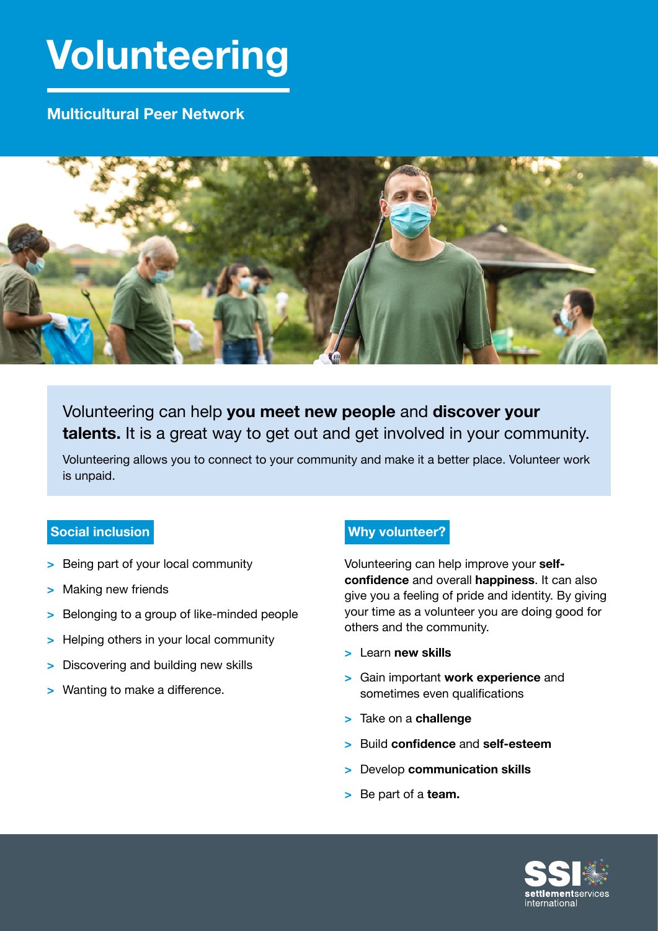# **Volunteering**

### **Multicultural Peer Network**



## Volunteering can help **you meet new people** and **discover your talents.** It is a great way to get out and get involved in your community.

Volunteering allows you to connect to your community and make it a better place. Volunteer work is unpaid.

#### **Social inclusion**

- **>** Being part of your local community
- **>** Making new friends
- **>** Belonging to a group of like-minded people
- **>** Helping others in your local community
- **>** Discovering and building new skills
- **>** Wanting to make a difference.

#### **Why volunteer?**

Volunteering can help improve your **selfconfidence** and overall **happiness**. It can also give you a feeling of pride and identity. By giving your time as a volunteer you are doing good for others and the community.

- **>** Learn **new skills**
- **>** Gain important **work experience** and sometimes even qualifications
- **>** Take on a **challenge**
- **>** Build **confidence** and **self-esteem**
- **>** Develop **communication skills**
- **>** Be part of a **team.**